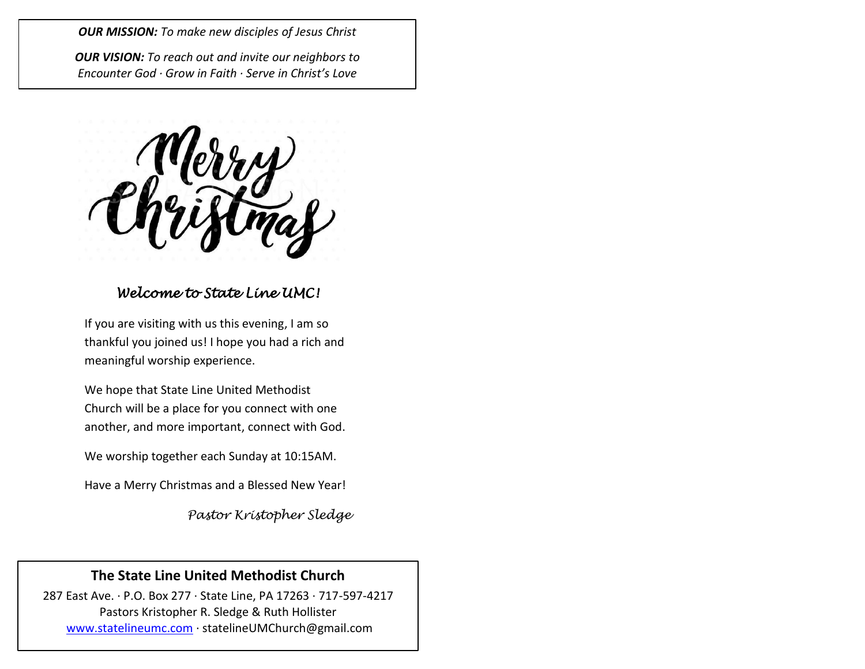*OUR MISSION: To make new disciples of Jesus Christ*

*OUR VISION: To reach out and invite our neighbors to Encounter God · Grow in Faith · Serve in Christ's Love*

## *Welcome to State Line UMC!*

If you are visiting with us this evening, I am so thankful you joined us! I hope you had a rich and meaningful worship experience.

We hope that State Line United Methodist Church will be a place for you connect with one another, and more important, connect with God.

We worship together each Sunday at 10:15AM.

Have a Merry Christmas and a Blessed New Year!

*Pastor Kristopher Sledge*

## **The State Line United Methodist Church**

287 East Ave. · P.O. Box 277 · State Line, PA 17263 · 717-597-4217 Pastors Kristopher R. Sledge & Ruth Hollister [www.statelineumc.com](http://www.statelineumc.com/) · statelineUMChurch@gmail.com